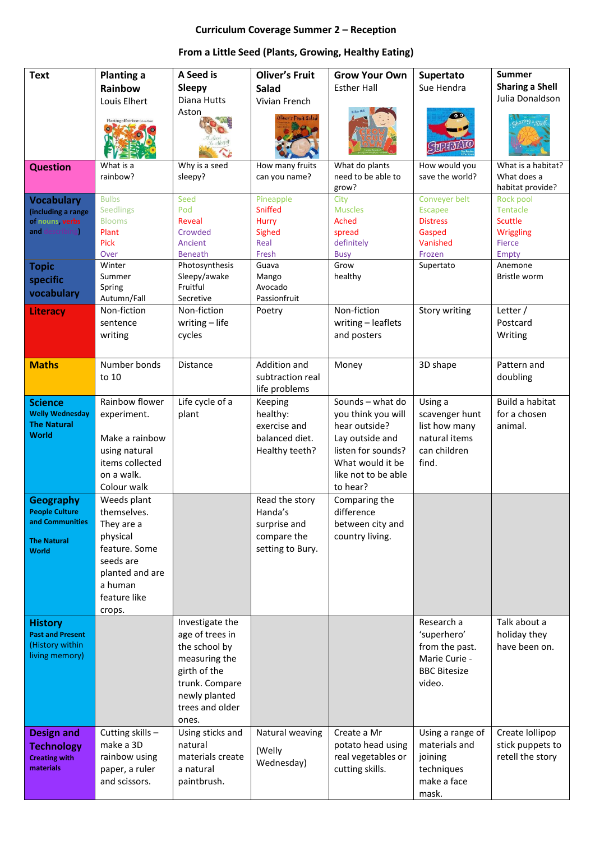## **Curriculum Coverage Summer 2 – Reception**

## **From a Little Seed (Plants, Growing, Healthy Eating)**

| <b>Text</b>                                  | <b>Planting a</b>                | A Seed is                       | <b>Oliver's Fruit</b>    | <b>Grow Your Own</b>                | Supertato                       | <b>Summer</b>                             |
|----------------------------------------------|----------------------------------|---------------------------------|--------------------------|-------------------------------------|---------------------------------|-------------------------------------------|
|                                              | Rainbow                          | Sleepy                          | Salad                    | <b>Esther Hall</b>                  | Sue Hendra                      | <b>Sharing a Shell</b><br>Julia Donaldson |
|                                              | Louis Elhert                     | Diana Hutts<br>Aston            | Vivian French            |                                     |                                 |                                           |
|                                              | Planting a Rainbow is too shi    |                                 | liver's Fruit Calad      |                                     | 00                              |                                           |
|                                              |                                  |                                 |                          |                                     |                                 |                                           |
|                                              |                                  |                                 |                          |                                     | <b>FUPERIA</b>                  |                                           |
| <b>Question</b>                              | What is a                        | Why is a seed                   | How many fruits          | What do plants                      | How would you                   | What is a habitat?                        |
|                                              | rainbow?                         | sleepy?                         | can you name?            | need to be able to                  | save the world?                 | What does a                               |
|                                              |                                  |                                 |                          | grow?                               |                                 | habitat provide?                          |
| <b>Vocabulary</b>                            | <b>Bulbs</b><br><b>Seedlings</b> | Seed<br>Pod                     | Pineapple<br>Sniffed     | City<br><b>Muscles</b>              | Conveyer belt<br><b>Escapee</b> | Rock pool<br>Tentacle                     |
| (including a range<br>of nouns, verbs        | <b>Blooms</b>                    | Reveal                          | Hurry                    | Ached                               | <b>Distress</b>                 | <b>Scuttle</b>                            |
| lescribing)<br>and                           | Plant                            | Crowded                         | Sighed                   | spread                              | Gasped                          | Wriggling                                 |
|                                              | <b>Pick</b>                      | Ancient                         | Real                     | definitely                          | Vanished                        | <b>Fierce</b>                             |
|                                              | Over                             | <b>Beneath</b>                  | Fresh                    | <b>Busy</b>                         | Frozen                          | Empty                                     |
| <b>Topic</b>                                 | Winter<br>Summer                 | Photosynthesis<br>Sleepy/awake  | Guava<br>Mango           | Grow<br>healthy                     | Supertato                       | Anemone<br>Bristle worm                   |
| specific                                     | Spring                           | Fruitful                        | Avocado                  |                                     |                                 |                                           |
| vocabulary                                   | Autumn/Fall                      | Secretive                       | Passionfruit             |                                     |                                 |                                           |
| <b>Literacy</b>                              | Non-fiction                      | Non-fiction                     | Poetry                   | Non-fiction                         | Story writing                   | Letter /                                  |
|                                              | sentence                         | writing - life                  |                          | writing - leaflets                  |                                 | Postcard                                  |
|                                              | writing                          | cycles                          |                          | and posters                         |                                 | Writing                                   |
|                                              |                                  |                                 |                          |                                     |                                 |                                           |
| <b>Maths</b>                                 | Number bonds                     | <b>Distance</b>                 | Addition and             | Money                               | 3D shape                        | Pattern and                               |
|                                              | to 10                            |                                 | subtraction real         |                                     |                                 | doubling                                  |
|                                              |                                  |                                 | life problems            |                                     |                                 |                                           |
| <b>Science</b>                               | Rainbow flower                   | Life cycle of a                 | Keeping                  | Sounds - what do                    | Using a                         | Build a habitat                           |
| <b>Welly Wednesday</b><br><b>The Natural</b> | experiment.                      | plant                           | healthy:<br>exercise and | you think you will<br>hear outside? | scavenger hunt<br>list how many | for a chosen<br>animal.                   |
| <b>World</b>                                 | Make a rainbow                   |                                 | balanced diet.           | Lay outside and                     | natural items                   |                                           |
|                                              | using natural                    |                                 | Healthy teeth?           | listen for sounds?                  | can children                    |                                           |
|                                              | items collected                  |                                 |                          | What would it be                    | find.                           |                                           |
|                                              | on a walk.                       |                                 |                          | like not to be able                 |                                 |                                           |
|                                              | Colour walk                      |                                 |                          | to hear?                            |                                 |                                           |
| <b>Geography</b>                             | Weeds plant                      |                                 | Read the story           | Comparing the                       |                                 |                                           |
| <b>People Culture</b>                        | themselves.                      |                                 | Handa's                  | difference                          |                                 |                                           |
| and Communities                              | They are a                       |                                 | surprise and             | between city and                    |                                 |                                           |
| <b>The Natural</b>                           | physical                         |                                 | compare the              | country living.                     |                                 |                                           |
| <b>World</b>                                 | feature. Some<br>seeds are       |                                 | setting to Bury.         |                                     |                                 |                                           |
|                                              | planted and are                  |                                 |                          |                                     |                                 |                                           |
|                                              | a human                          |                                 |                          |                                     |                                 |                                           |
|                                              | feature like                     |                                 |                          |                                     |                                 |                                           |
|                                              | crops.                           |                                 |                          |                                     |                                 |                                           |
| <b>History</b>                               |                                  | Investigate the                 |                          |                                     | Research a                      | Talk about a                              |
| <b>Past and Present</b>                      |                                  | age of trees in                 |                          |                                     | 'superhero'                     | holiday they                              |
| (History within<br>living memory)            |                                  | the school by                   |                          |                                     | from the past.                  | have been on.                             |
|                                              |                                  | measuring the                   |                          |                                     | Marie Curie -                   |                                           |
|                                              |                                  | girth of the                    |                          |                                     | <b>BBC Bitesize</b>             |                                           |
|                                              |                                  | trunk. Compare<br>newly planted |                          |                                     | video.                          |                                           |
|                                              |                                  | trees and older                 |                          |                                     |                                 |                                           |
|                                              |                                  | ones.                           |                          |                                     |                                 |                                           |
| <b>Design and</b>                            | Cutting skills -                 | Using sticks and                | Natural weaving          | Create a Mr                         | Using a range of                | Create lollipop                           |
| <b>Technology</b>                            | make a 3D                        | natural                         |                          | potato head using                   | materials and                   | stick puppets to                          |
| <b>Creating with</b>                         | rainbow using                    | materials create                | (Welly<br>Wednesday)     | real vegetables or                  | joining                         | retell the story                          |
| materials                                    | paper, a ruler                   | a natural                       |                          | cutting skills.                     | techniques                      |                                           |
|                                              | and scissors.                    | paintbrush.                     |                          |                                     | make a face                     |                                           |
|                                              |                                  |                                 |                          |                                     | mask.                           |                                           |